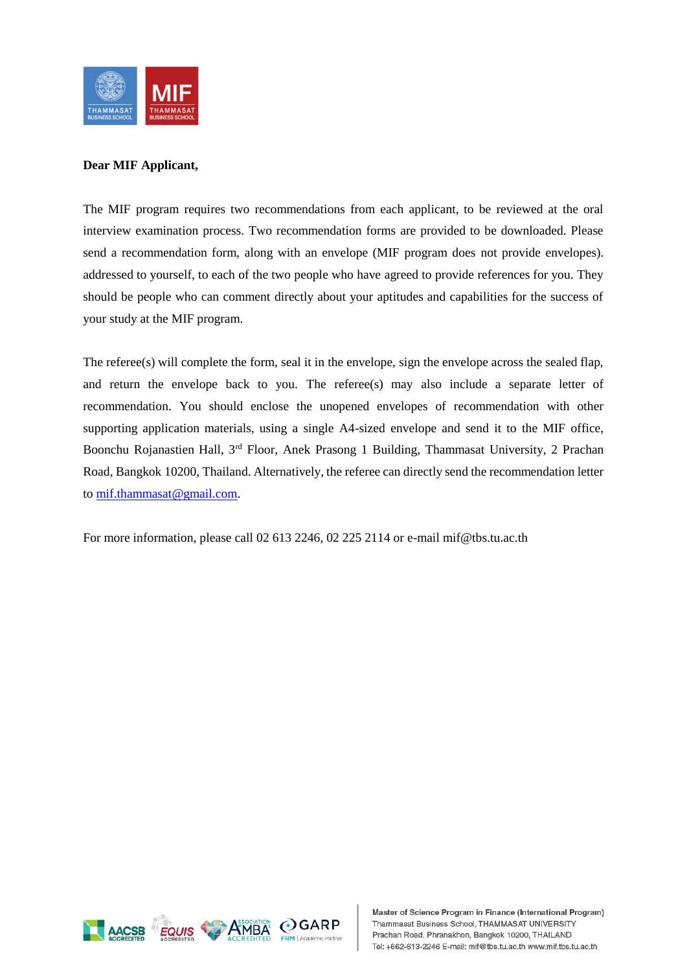

## **Dear MIF Applicant,**

The MIF program requires two recommendations from each applicant, to be reviewed at the oral interview examination process. Two recommendation forms are provided to be downloaded. Please send a recommendation form, along with an envelope (MIF program does not provide envelopes). addressed to yourself, to each of the two people who have agreed to provide references for you. They should be people who can comment directly about your aptitudes and capabilities for the success of your study at the MIF program.

The referee(s) will complete the form, seal it in the envelope, sign the envelope across the sealed flap, and return the envelope back to you. The referee(s) may also include a separate letter of recommendation. You should enclose the unopened envelopes of recommendation with other supporting application materials, using a single A4-sized envelope and send it to the MIF office, Boonchu Rojanastien Hall, 3<sup>rd</sup> Floor, Anek Prasong 1 Building, Thammasat University, 2 Prachan Road, Bangkok 10200, Thailand. Alternatively, the referee can directly send the recommendation letter to [mif.thammasat@gmail.com.](mailto:mif.thammasat@gmail.com)

For more information, please call 02 613 2246, 02 225 2114 or e-mail mif@tbs.tu.ac.th

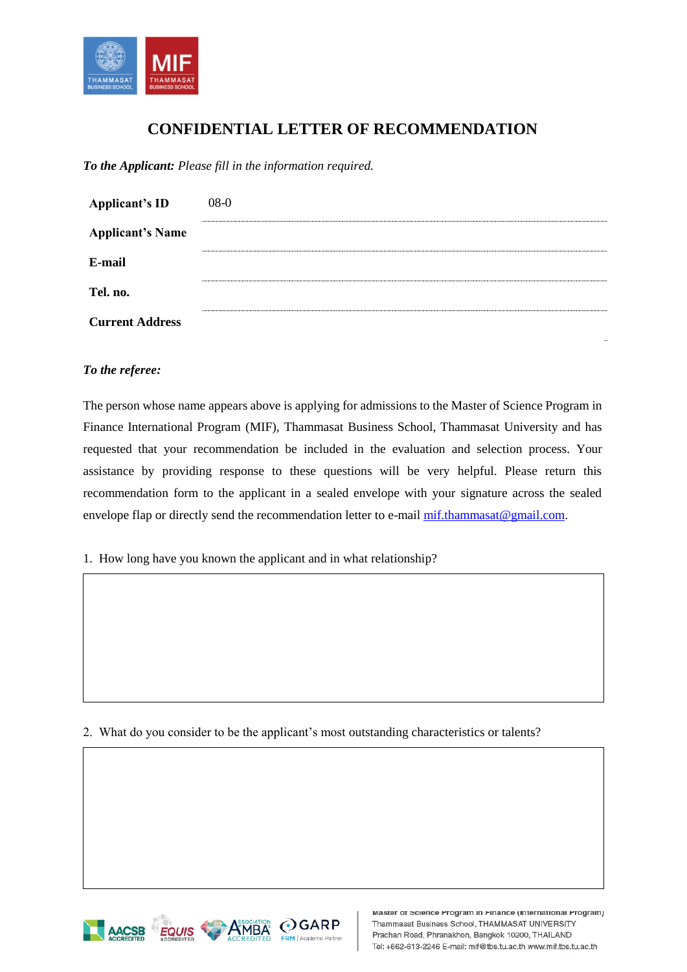

## **CONFIDENTIAL LETTER OF RECOMMENDATION**

*To the Applicant: Please fill in the information required.*

| <b>Applicant's ID</b>   | $08-0$ |
|-------------------------|--------|
| <b>Applicant's Name</b> |        |
| E-mail                  |        |
| Tel. no.                |        |
| <b>Current Address</b>  |        |
|                         |        |

## *To the referee:*

The person whose name appears above is applying for admissions to the Master of Science Program in Finance International Program (MIF), Thammasat Business School, Thammasat University and has requested that your recommendation be included in the evaluation and selection process. Your assistance by providing response to these questions will be very helpful. Please return this recommendation form to the applicant in a sealed envelope with your signature across the sealed envelope flap or directly send the recommendation letter to e-mai[l mif.thammasat@gmail.com.](mailto:mif.thammasat@gmail.com)

1. How long have you known the applicant and in what relationship?

2. What do you consider to be the applicant's most outstanding characteristics or talents?

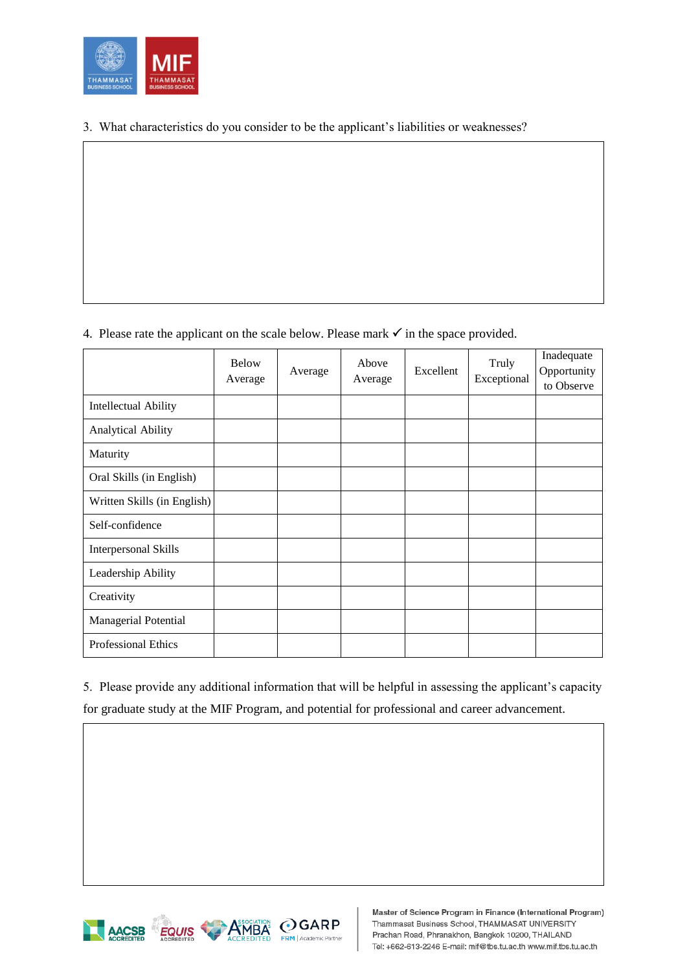

3. What characteristics do you consider to be the applicant's liabilities or weaknesses?

4. Please rate the applicant on the scale below. Please mark  $\checkmark$  in the space provided.

|                             | <b>Below</b><br>Average | Average | Above<br>Average | Excellent | Truly<br>Exceptional | Inadequate<br>Opportunity<br>to Observe |
|-----------------------------|-------------------------|---------|------------------|-----------|----------------------|-----------------------------------------|
| <b>Intellectual Ability</b> |                         |         |                  |           |                      |                                         |
| <b>Analytical Ability</b>   |                         |         |                  |           |                      |                                         |
| Maturity                    |                         |         |                  |           |                      |                                         |
| Oral Skills (in English)    |                         |         |                  |           |                      |                                         |
| Written Skills (in English) |                         |         |                  |           |                      |                                         |
| Self-confidence             |                         |         |                  |           |                      |                                         |
| <b>Interpersonal Skills</b> |                         |         |                  |           |                      |                                         |
| Leadership Ability          |                         |         |                  |           |                      |                                         |
| Creativity                  |                         |         |                  |           |                      |                                         |
| Managerial Potential        |                         |         |                  |           |                      |                                         |
| <b>Professional Ethics</b>  |                         |         |                  |           |                      |                                         |

5. Please provide any additional information that will be helpful in assessing the applicant's capacity for graduate study at the MIF Program, and potential for professional and career advancement.



Master of Science Program in Finance (International Program) Thammasat Business School, THAMMASAT UNIVERSITY Prachan Road, Phranakhon, Bangkok 10200, THAILAND Tel: +662-613-2246 E-mail: mif@tbs.tu.ac.th www.mif.tbs.tu.ac.th